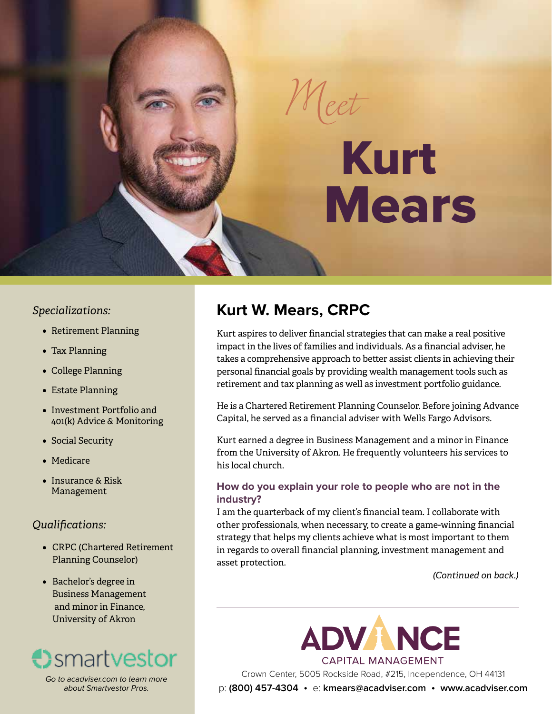# Kurt Mears

#### *Specializations:*

- Retirement Planning
- Tax Planning
- • College Planning
- • Estate Planning
- • Investment Portfolio and 401(k) Advice & Monitoring
- Social Security
- • Medicare
- Insurance & Risk Management

#### *Qualifications:*

- CRPC (Chartered Retirement Planning Counselor)
- • Bachelor's degree in Business Management and minor in Finance, University of Akron



*Go to acadviser.com to learn more about Smartvestor Pros.*

### **Kurt W. Mears, CRPC**

*Meet*

Kurt aspires to deliver financial strategies that can make a real positive impact in the lives of families and individuals. As a financial adviser, he takes a comprehensive approach to better assist clients in achieving their personal financial goals by providing wealth management tools such as retirement and tax planning as well as investment portfolio guidance.

He is a Chartered Retirement Planning Counselor. Before joining Advance Capital, he served as a financial adviser with Wells Fargo Advisors.

Kurt earned a degree in Business Management and a minor in Finance from the University of Akron. He frequently volunteers his services to his local church.

#### **How do you explain your role to people who are not in the industry?**

I am the quarterback of my client's financial team. I collaborate with other professionals, when necessary, to create a game-winning financial strategy that helps my clients achieve what is most important to them in regards to overall financial planning, investment management and asset protection.

*(Continued on back.)*

**ADVANCE CAPITAL MANAGEMENT** 

Crown Center, 5005 Rockside Road, #215, Independence, OH 44131

p: **(800) 457-4304** •e: **kmears@acadviser.com** • **www.acadviser.com**